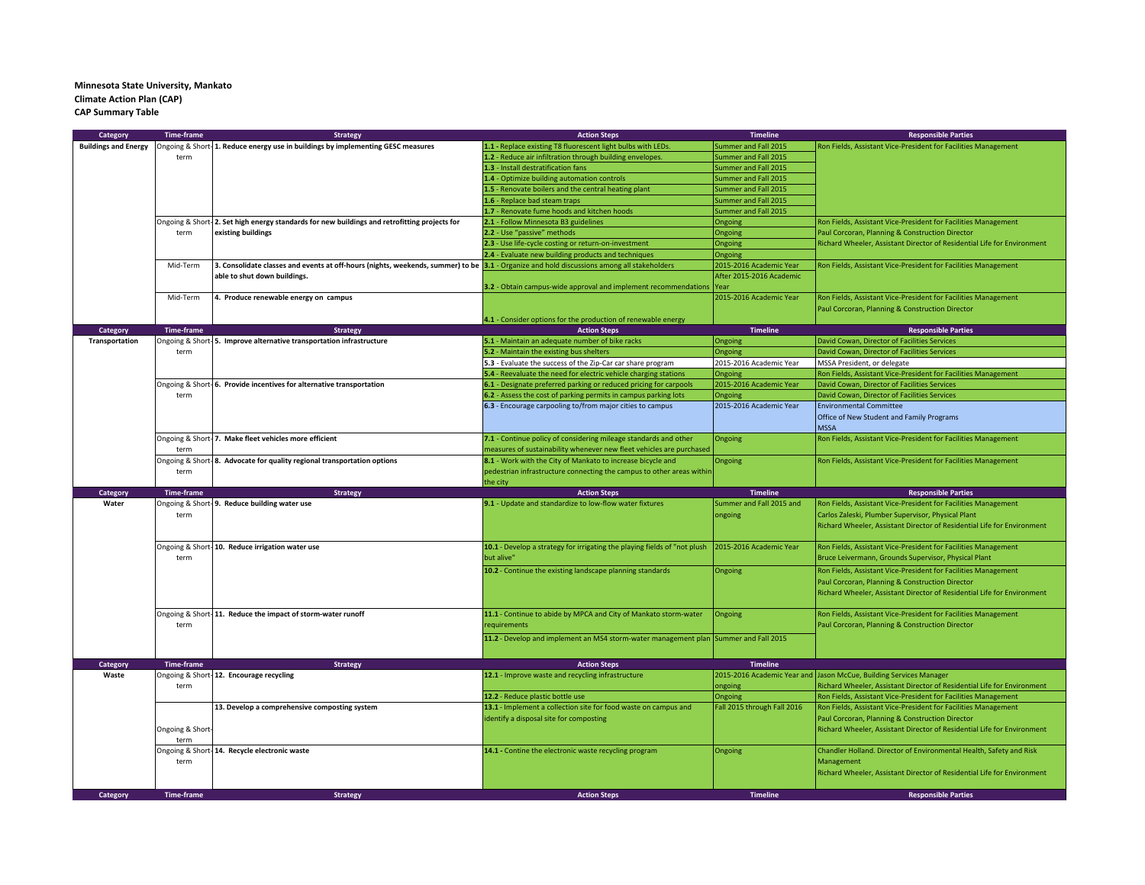**Minnesota State University, Mankato** 

**Climate Action Plan (CAP)** 

**CAP Summary Table**

| Category                    | <b>Time-frame</b> | <b>Strategy</b>                                                                                                                            | <b>Action Steps</b>                                                                                 | <b>Timeline</b>             | <b>Responsible Parties</b>                                              |
|-----------------------------|-------------------|--------------------------------------------------------------------------------------------------------------------------------------------|-----------------------------------------------------------------------------------------------------|-----------------------------|-------------------------------------------------------------------------|
| <b>Buildings and Energy</b> |                   | Ongoing & Short-1. Reduce energy use in buildings by implementing GESC measures                                                            | 1.1 - Replace existing T8 fluorescent light bulbs with LEDs.                                        | Summer and Fall 2015        | Ron Fields, Assistant Vice-President for Facilities Management          |
|                             | term              |                                                                                                                                            | 1.2 - Reduce air infiltration through building envelopes.                                           | Summer and Fall 2015        |                                                                         |
|                             |                   |                                                                                                                                            | 1.3 - Install destratification fans                                                                 | Summer and Fall 2015        |                                                                         |
|                             |                   |                                                                                                                                            | 1.4 - Optimize building automation controls                                                         | Summer and Fall 2015        |                                                                         |
|                             |                   |                                                                                                                                            | L.5 - Renovate boilers and the central heating plant                                                | Summer and Fall 2015        |                                                                         |
|                             |                   |                                                                                                                                            | 1.6 - Replace bad steam traps                                                                       | Summer and Fall 2015        |                                                                         |
|                             |                   |                                                                                                                                            | 1.7 - Renovate fume hoods and kitchen hoods                                                         | Summer and Fall 2015        |                                                                         |
|                             |                   | Ongoing & Short-2. Set high energy standards for new buildings and retrofitting projects for                                               | 2.1 - Follow Minnesota B3 guidelines                                                                | Ongoing                     | Ron Fields, Assistant Vice-President for Facilities Management          |
|                             | term              | existing buildings                                                                                                                         | 2.2 - Use "passive" methods                                                                         | Ongoing                     | Paul Corcoran, Planning & Construction Director                         |
|                             |                   |                                                                                                                                            | 2.3 - Use life-cycle costing or return-on-investment                                                | Ongoing                     | Richard Wheeler, Assistant Director of Residential Life for Environment |
|                             |                   |                                                                                                                                            | 2.4 - Evaluate new building products and techniques                                                 | Ongoing                     |                                                                         |
|                             | Mid-Term          | 3. Consolidate classes and events at off-hours (nights, weekends, summer) to be 3.1 - Organize and hold discussions among all stakeholders |                                                                                                     | 2015-2016 Academic Year     | Ron Fields, Assistant Vice-President for Facilities Management          |
|                             |                   | able to shut down buildings.                                                                                                               |                                                                                                     | After 2015-2016 Academic    |                                                                         |
|                             |                   |                                                                                                                                            | 3.2 - Obtain campus-wide approval and implement recommendations  Year                               |                             |                                                                         |
|                             | Mid-Term          | 4. Produce renewable energy on campus                                                                                                      |                                                                                                     | 2015-2016 Academic Year     | Ron Fields, Assistant Vice-President for Facilities Management          |
|                             |                   |                                                                                                                                            |                                                                                                     |                             | Paul Corcoran, Planning & Construction Director                         |
|                             |                   |                                                                                                                                            | 4.1 - Consider options for the production of renewable energy                                       |                             |                                                                         |
| Category                    | <b>Time-frame</b> | <b>Strategy</b>                                                                                                                            | <b>Action Steps</b>                                                                                 | Timeline                    | <b>Responsible Parties</b>                                              |
| Transportation              |                   | Ongoing & Short-5. Improve alternative transportation infrastructure                                                                       | 5.1 - Maintain an adequate number of bike racks                                                     | Ongoing                     | David Cowan, Director of Facilities Services                            |
|                             | term              |                                                                                                                                            | 5.2 - Maintain the existing bus shelters                                                            | Ongoing                     | David Cowan, Director of Facilities Services                            |
|                             |                   |                                                                                                                                            | 5.3 - Evaluate the success of the Zip-Car car share program                                         | 2015-2016 Academic Year     | MSSA President, or delegate                                             |
|                             |                   |                                                                                                                                            | 5.4 - Reevaluate the need for electric vehicle charging stations                                    | <b>Ongoing</b>              | Ron Fields, Assistant Vice-President for Facilities Management          |
|                             | Ongoing & Short-  | -6. Provide incentives for alternative transportation                                                                                      | 6.1 - Designate preferred parking or reduced pricing for carpools                                   | 2015-2016 Academic Year     | David Cowan, Director of Facilities Services                            |
|                             | term              |                                                                                                                                            | 6.2 - Assess the cost of parking permits in campus parking lots                                     | Ongoing                     | David Cowan, Director of Facilities Services                            |
|                             |                   |                                                                                                                                            | 6.3 - Encourage carpooling to/from major cities to campus                                           | 2015-2016 Academic Year     | <b>Environmental Committee</b>                                          |
|                             |                   |                                                                                                                                            |                                                                                                     |                             | Office of New Student and Family Programs                               |
|                             |                   |                                                                                                                                            |                                                                                                     |                             | <b>MSSA</b>                                                             |
|                             |                   | Ongoing & Short-7. Make fleet vehicles more efficient                                                                                      | 7.1 - Continue policy of considering mileage standards and other                                    | <b>Ongoing</b>              | Ron Fields, Assistant Vice-President for Facilities Management          |
|                             | term              |                                                                                                                                            | neasures of sustainability whenever new fleet vehicles are purchase                                 |                             |                                                                         |
|                             | Ongoing & Short   | -8. Advocate for quality regional transportation options                                                                                   | 8.1 - Work with the City of Mankato to increase bicycle and                                         | <b>Ongoing</b>              | Ron Fields, Assistant Vice-President for Facilities Management          |
|                             | term              |                                                                                                                                            | pedestrian infrastructure connecting the campus to other areas withir                               |                             |                                                                         |
|                             |                   |                                                                                                                                            | e city                                                                                              |                             |                                                                         |
| Category                    | <b>Time-frame</b> | <b>Strategy</b>                                                                                                                            | <b>Action Steps</b>                                                                                 | <b>Timeline</b>             | <b>Responsible Parties</b>                                              |
| Water                       |                   | Ongoing & Short-9. Reduce building water use                                                                                               | 9.1 - Update and standardize to low-flow water fixtures                                             | Summer and Fall 2015 and    | Ron Fields, Assistant Vice-President for Facilities Management          |
|                             | term              |                                                                                                                                            |                                                                                                     | ongoing                     | Carlos Zaleski, Plumber Supervisor, Physical Plant                      |
|                             |                   |                                                                                                                                            |                                                                                                     |                             | Richard Wheeler, Assistant Director of Residential Life for Environment |
|                             |                   |                                                                                                                                            |                                                                                                     |                             |                                                                         |
|                             |                   | Ongoing & Short-10. Reduce irrigation water use                                                                                            | 10.1 - Develop a strategy for irrigating the playing fields of "not plush   2015-2016 Academic Year |                             | Ron Fields, Assistant Vice-President for Facilities Management          |
|                             | term              |                                                                                                                                            | but alive"                                                                                          |                             | Bruce Leivermann, Grounds Supervisor, Physical Plant                    |
|                             |                   |                                                                                                                                            | 10.2 - Continue the existing landscape planning standards                                           | Ongoing                     | Ron Fields, Assistant Vice-President for Facilities Management          |
|                             |                   |                                                                                                                                            |                                                                                                     |                             | Paul Corcoran, Planning & Construction Director                         |
|                             |                   |                                                                                                                                            |                                                                                                     |                             | Richard Wheeler, Assistant Director of Residential Life for Environment |
|                             |                   |                                                                                                                                            |                                                                                                     |                             |                                                                         |
|                             |                   | Ongoing & Short-11. Reduce the impact of storm-water runoff                                                                                | 11.1 - Continue to abide by MPCA and City of Mankato storm-water                                    | Ongoing                     | Ron Fields, Assistant Vice-President for Facilities Management          |
|                             | term              |                                                                                                                                            | requirements                                                                                        |                             | Paul Corcoran, Planning & Construction Director                         |
|                             |                   |                                                                                                                                            |                                                                                                     |                             |                                                                         |
|                             |                   |                                                                                                                                            | 11.2 - Develop and implement an MS4 storm-water management plan Summer and Fall 2015                |                             |                                                                         |
|                             |                   |                                                                                                                                            |                                                                                                     |                             |                                                                         |
| Category                    | <b>Time-frame</b> | <b>Strategy</b>                                                                                                                            | <b>Action Steps</b>                                                                                 | Timeline                    |                                                                         |
| Waste                       |                   | Ongoing & Short-12. Encourage recycling                                                                                                    | 12.1 - Improve waste and recycling infrastructure                                                   |                             | 2015-2016 Academic Year and Jason McCue, Building Services Manager      |
|                             | term              |                                                                                                                                            |                                                                                                     | ngoing                      | Richard Wheeler, Assistant Director of Residential Life for Environment |
|                             |                   |                                                                                                                                            | 12.2 - Reduce plastic bottle use                                                                    | <b>Ongoing</b>              | Ron Fields, Assistant Vice-President for Facilities Management          |
|                             |                   | 13. Develop a comprehensive composting system                                                                                              | 13.1 - Implement a collection site for food waste on campus and                                     | Fall 2015 through Fall 2016 | Ron Fields, Assistant Vice-President for Facilities Management          |
|                             |                   |                                                                                                                                            | identify a disposal site for composting                                                             |                             | Paul Corcoran, Planning & Construction Director                         |
|                             | Ongoing & Short   |                                                                                                                                            |                                                                                                     |                             | Richard Wheeler, Assistant Director of Residential Life for Environment |
|                             | term              |                                                                                                                                            |                                                                                                     |                             |                                                                         |
|                             |                   | Ongoing & Short-14. Recycle electronic waste                                                                                               | 14.1 - Contine the electronic waste recycling program                                               | Ongoing                     | Chandler Holland. Director of Environmental Health, Safety and Risk     |
|                             | term              |                                                                                                                                            |                                                                                                     |                             | Management                                                              |
|                             |                   |                                                                                                                                            |                                                                                                     |                             | Richard Wheeler, Assistant Director of Residential Life for Environment |
|                             |                   |                                                                                                                                            |                                                                                                     |                             |                                                                         |
| Category                    | <b>Time-frame</b> | <b>Strategy</b>                                                                                                                            | <b>Action Steps</b>                                                                                 | <b>Timeline</b>             | <b>Responsible Parties</b>                                              |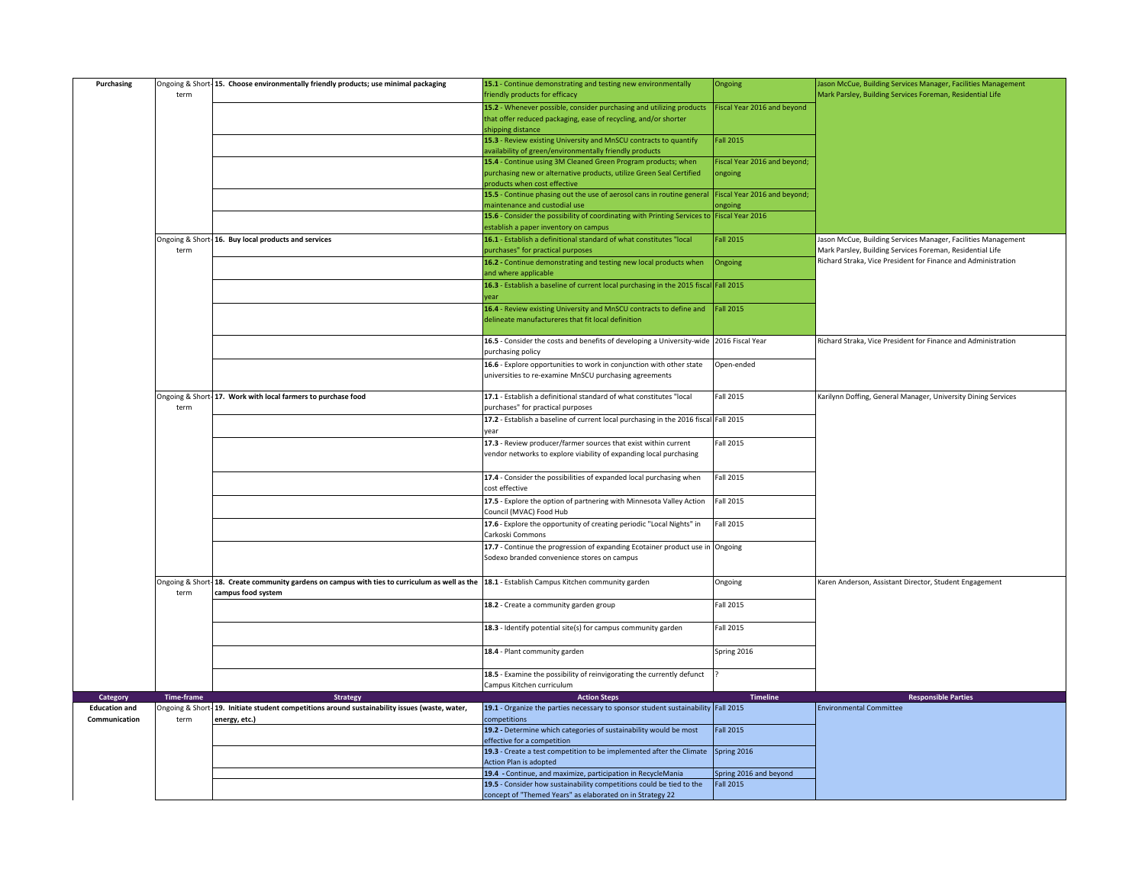| Purchasing           | term              | Ongoing & Short-15. Choose environmentally friendly products; use minimal packaging                                 | 15.1 - Continue demonstrating and testing new environmentally<br>riendly products for efficacy                                        | Ongoing                      | Jason McCue, Building Services Manager, Facilities Management<br>Mark Parsley, Building Services Foreman, Residential Life |
|----------------------|-------------------|---------------------------------------------------------------------------------------------------------------------|---------------------------------------------------------------------------------------------------------------------------------------|------------------------------|----------------------------------------------------------------------------------------------------------------------------|
|                      |                   |                                                                                                                     | 15.2 - Whenever possible, consider purchasing and utilizing products                                                                  | Fiscal Year 2016 and beyond  |                                                                                                                            |
|                      |                   |                                                                                                                     | that offer reduced packaging, ease of recycling, and/or shorter<br>hipping distance                                                   |                              |                                                                                                                            |
|                      |                   |                                                                                                                     | 15.3 - Review existing University and MnSCU contracts to quantify<br>wailability of green/environmentally friendly products           | <b>Fall 2015</b>             |                                                                                                                            |
|                      |                   |                                                                                                                     | 15.4 - Continue using 3M Cleaned Green Program products; when                                                                         | Fiscal Year 2016 and beyond; |                                                                                                                            |
|                      |                   |                                                                                                                     | ourchasing new or alternative products, utilize Green Seal Certified                                                                  | ngoing                       |                                                                                                                            |
|                      |                   |                                                                                                                     | roducts when cost effective                                                                                                           |                              |                                                                                                                            |
|                      |                   |                                                                                                                     | 15.5 - Continue phasing out the use of aerosol cans in routine general Fiscal Year 2016 and beyond;                                   |                              |                                                                                                                            |
|                      |                   |                                                                                                                     | naintenance and custodial use                                                                                                         | ngoing                       |                                                                                                                            |
|                      |                   |                                                                                                                     | 15.6 - Consider the possibility of coordinating with Printing Services to Fiscal Year 2016<br>establish a paper inventory on campus   |                              |                                                                                                                            |
|                      | term              | Ongoing & Short-16. Buy local products and services                                                                 | 16.1 - Establish a definitional standard of what constitutes "local<br>urchases" for practical purposes                               | <b>Fall 2015</b>             | Jason McCue, Building Services Manager, Facilities Management<br>Mark Parsley, Building Services Foreman, Residential Life |
|                      |                   |                                                                                                                     | 16.2 - Continue demonstrating and testing new local products when                                                                     | Ongoing                      | Richard Straka, Vice President for Finance and Administration                                                              |
|                      |                   |                                                                                                                     | and where applicable                                                                                                                  |                              |                                                                                                                            |
|                      |                   |                                                                                                                     | 16.3 - Establish a baseline of current local purchasing in the 2015 fiscal Fall 2015                                                  |                              |                                                                                                                            |
|                      |                   |                                                                                                                     | 16.4 - Review existing University and MnSCU contracts to define and Fall 2015                                                         |                              |                                                                                                                            |
|                      |                   |                                                                                                                     | delineate manufactureres that fit local definition                                                                                    |                              |                                                                                                                            |
|                      |                   |                                                                                                                     | 16.5 - Consider the costs and benefits of developing a University-wide 2016 Fiscal Year                                               |                              | Richard Straka, Vice President for Finance and Administration                                                              |
|                      |                   |                                                                                                                     | purchasing policy                                                                                                                     |                              |                                                                                                                            |
|                      |                   |                                                                                                                     | 16.6 - Explore opportunities to work in conjunction with other state<br>universities to re-examine MnSCU purchasing agreements        | Open-ended                   |                                                                                                                            |
|                      |                   | Ongoing & Short-17. Work with local farmers to purchase food                                                        | 17.1 - Establish a definitional standard of what constitutes "local                                                                   | Fall 2015                    | Karilynn Doffing, General Manager, University Dining Services                                                              |
|                      | term              |                                                                                                                     | purchases" for practical purposes                                                                                                     |                              |                                                                                                                            |
|                      |                   |                                                                                                                     | 17.2 - Establish a baseline of current local purchasing in the 2016 fiscal Fall 2015<br>vear                                          |                              |                                                                                                                            |
|                      |                   |                                                                                                                     | 17.3 - Review producer/farmer sources that exist within current<br>vendor networks to explore viability of expanding local purchasing | Fall 2015                    |                                                                                                                            |
|                      |                   |                                                                                                                     | 17.4 - Consider the possibilities of expanded local purchasing when<br>cost effective                                                 | Fall 2015                    |                                                                                                                            |
|                      |                   |                                                                                                                     | 17.5 - Explore the option of partnering with Minnesota Valley Action<br>Council (MVAC) Food Hub                                       | Fall 2015                    |                                                                                                                            |
|                      |                   |                                                                                                                     | 17.6 - Explore the opportunity of creating periodic "Local Nights" in<br>Carkoski Commons                                             | Fall 2015                    |                                                                                                                            |
|                      |                   |                                                                                                                     | 17.7 - Continue the progression of expanding Ecotainer product use in Ongoing<br>Sodexo branded convenience stores on campus          |                              |                                                                                                                            |
|                      | term              | Ongoing & Short-18. Create community gardens on campus with ties to curriculum as well as the<br>campus food system | 18.1 - Establish Campus Kitchen community garden                                                                                      | Ongoing                      | Karen Anderson, Assistant Director, Student Engagement                                                                     |
|                      |                   |                                                                                                                     | 18.2 - Create a community garden group                                                                                                | <b>Fall 2015</b>             |                                                                                                                            |
|                      |                   |                                                                                                                     | 18.3 - Identify potential site(s) for campus community garden                                                                         | Fall 2015                    |                                                                                                                            |
|                      |                   |                                                                                                                     | 18.4 - Plant community garden                                                                                                         | Spring 2016                  |                                                                                                                            |
|                      |                   |                                                                                                                     | 18.5 - Examine the possibility of reinvigorating the currently defunct<br>Campus Kitchen curriculum                                   |                              |                                                                                                                            |
| Category             | <b>Time-frame</b> | <b>Strategy</b>                                                                                                     | <b>Action Steps</b>                                                                                                                   | Timeline                     | <b>Responsible Parties</b>                                                                                                 |
| <b>Education and</b> | Ingoing & Short   | 19. Initiate student competitions around sustainability issues (waste, water,                                       | 19.1 - Organize the parties necessary to sponsor student sustainability Fall 2015                                                     |                              | <b>Environmental Committee</b>                                                                                             |
| Communication        | term              | energy, etc.)                                                                                                       | competitions<br>19.2 - Determine which categories of sustainability would be most                                                     | <b>Fall 2015</b>             |                                                                                                                            |
|                      |                   |                                                                                                                     | effective for a competition<br>19.3 - Create a test competition to be implemented after the Climate Spring 2016                       |                              |                                                                                                                            |
|                      |                   |                                                                                                                     | <b>Action Plan is adopted</b><br>19.4 - Continue, and maximize, participation in RecycleMania                                         | Spring 2016 and beyond       |                                                                                                                            |
|                      |                   |                                                                                                                     | 19.5 - Consider how sustainability competitions could be tied to the                                                                  | <b>Fall 2015</b>             |                                                                                                                            |
|                      |                   |                                                                                                                     | concept of "Themed Years" as elaborated on in Strategy 22                                                                             |                              |                                                                                                                            |
|                      |                   |                                                                                                                     |                                                                                                                                       |                              |                                                                                                                            |